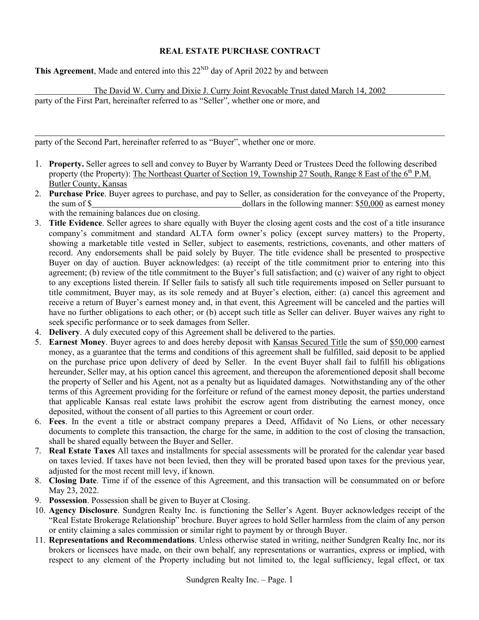## **REAL ESTATE PURCHASE CONTRACT**

**This Agreement**, Made and entered into this  $22<sup>ND</sup>$  day of April 2022 by and between

The David W. Curry and Dixie J. Curry Joint Revocable Trust dated March 14, 2002

party of the First Part, hereinafter referred to as "Seller", whether one or more, and

party of the Second Part, hereinafter referred to as "Buyer", whether one or more.

- 1. **Property.** Seller agrees to sell and convey to Buyer by Warranty Deed or Trustees Deed the following described property (the Property): The Northeast Quarter of Section 19, Township 27 South, Range 8 East of the 6<sup>th</sup> P.M. Butler County, Kansas
- 2. **Purchase Price**. Buyer agrees to purchase, and pay to Seller, as consideration for the conveyance of the Property, the sum of \$ dollars in the following manner: \$50,000 as earnest money with the remaining balances due on closing.
- 3. **Title Evidence**. Seller agrees to share equally with Buyer the closing agent costs and the cost of a title insurance company's commitment and standard ALTA form owner's policy (except survey matters) to the Property, showing a marketable title vested in Seller, subject to easements, restrictions, covenants, and other matters of record. Any endorsements shall be paid solely by Buyer. The title evidence shall be presented to prospective Buyer on day of auction. Buyer acknowledges: (a) receipt of the title commitment prior to entering into this agreement; (b) review of the title commitment to the Buyer's full satisfaction; and (c) waiver of any right to object to any exceptions listed therein. If Seller fails to satisfy all such title requirements imposed on Seller pursuant to title commitment, Buyer may, as its sole remedy and at Buyer's election, either: (a) cancel this agreement and receive a return of Buyer's earnest money and, in that event, this Agreement will be canceled and the parties will have no further obligations to each other; or (b) accept such title as Seller can deliver. Buyer waives any right to seek specific performance or to seek damages from Seller.
- 4. **Delivery**. A duly executed copy of this Agreement shall be delivered to the parties.
- 5. **Earnest Money**. Buyer agrees to and does hereby deposit with Kansas Secured Title the sum of \$50,000 earnest money, as a guarantee that the terms and conditions of this agreement shall be fulfilled, said deposit to be applied on the purchase price upon delivery of deed by Seller. In the event Buyer shall fail to fulfill his obligations hereunder, Seller may, at his option cancel this agreement, and thereupon the aforementioned deposit shall become the property of Seller and his Agent, not as a penalty but as liquidated damages. Notwithstanding any of the other terms of this Agreement providing for the forfeiture or refund of the earnest money deposit, the parties understand that applicable Kansas real estate laws prohibit the escrow agent from distributing the earnest money, once deposited, without the consent of all parties to this Agreement or court order.
- 6. **Fees**. In the event a title or abstract company prepares a Deed, Affidavit of No Liens, or other necessary documents to complete this transaction, the charge for the same, in addition to the cost of closing the transaction, shall be shared equally between the Buyer and Seller.
- 7. **Real Estate Taxes** All taxes and installments for special assessments will be prorated for the calendar year based on taxes levied. If taxes have not been levied, then they will be prorated based upon taxes for the previous year, adjusted for the most recent mill levy, if known.
- 8. **Closing Date**. Time if of the essence of this Agreement, and this transaction will be consummated on or before May 23, 2022.
- 9. **Possession**. Possession shall be given to Buyer at Closing.
- 10. **Agency Disclosure**. Sundgren Realty Inc. is functioning the Seller's Agent. Buyer acknowledges receipt of the "Real Estate Brokerage Relationship" brochure. Buyer agrees to hold Seller harmless from the claim of any person or entity claiming a sales commission or similar right to payment by or through Buyer.
- 11. **Representations and Recommendations**. Unless otherwise stated in writing, neither Sundgren Realty Inc, nor its brokers or licensees have made, on their own behalf, any representations or warranties, express or implied, with respect to any element of the Property including but not limited to, the legal sufficiency, legal effect, or tax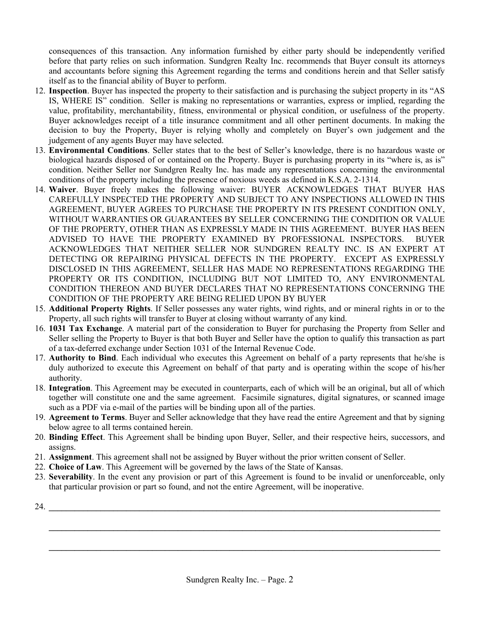consequences of this transaction. Any information furnished by either party should be independently verified before that party relies on such information. Sundgren Realty Inc. recommends that Buyer consult its attorneys and accountants before signing this Agreement regarding the terms and conditions herein and that Seller satisfy itself as to the financial ability of Buyer to perform.

- 12. **Inspection**. Buyer has inspected the property to their satisfaction and is purchasing the subject property in its "AS IS, WHERE IS" condition. Seller is making no representations or warranties, express or implied, regarding the value, profitability, merchantability, fitness, environmental or physical condition, or usefulness of the property. Buyer acknowledges receipt of a title insurance commitment and all other pertinent documents. In making the decision to buy the Property, Buyer is relying wholly and completely on Buyer's own judgement and the judgement of any agents Buyer may have selected.
- 13. **Environmental Conditions**. Seller states that to the best of Seller's knowledge, there is no hazardous waste or biological hazards disposed of or contained on the Property. Buyer is purchasing property in its "where is, as is" condition. Neither Seller nor Sundgren Realty Inc. has made any representations concerning the environmental conditions of the property including the presence of noxious weeds as defined in K.S.A. 2-1314.
- 14. **Waiver**. Buyer freely makes the following waiver: BUYER ACKNOWLEDGES THAT BUYER HAS CAREFULLY INSPECTED THE PROPERTY AND SUBJECT TO ANY INSPECTIONS ALLOWED IN THIS AGREEMENT, BUYER AGREES TO PURCHASE THE PROPERTY IN ITS PRESENT CONDITION ONLY, WITHOUT WARRANTIES OR GUARANTEES BY SELLER CONCERNING THE CONDITION OR VALUE OF THE PROPERTY, OTHER THAN AS EXPRESSLY MADE IN THIS AGREEMENT. BUYER HAS BEEN ADVISED TO HAVE THE PROPERTY EXAMINED BY PROFESSIONAL INSPECTORS. BUYER ACKNOWLEDGES THAT NEITHER SELLER NOR SUNDGREN REALTY INC. IS AN EXPERT AT DETECTING OR REPAIRING PHYSICAL DEFECTS IN THE PROPERTY. EXCEPT AS EXPRESSLY DISCLOSED IN THIS AGREEMENT, SELLER HAS MADE NO REPRESENTATIONS REGARDING THE PROPERTY OR ITS CONDITION, INCLUDING BUT NOT LIMITED TO, ANY ENVIRONMENTAL CONDITION THEREON AND BUYER DECLARES THAT NO REPRESENTATIONS CONCERNING THE CONDITION OF THE PROPERTY ARE BEING RELIED UPON BY BUYER
- 15. **Additional Property Rights**. If Seller possesses any water rights, wind rights, and or mineral rights in or to the Property, all such rights will transfer to Buyer at closing without warranty of any kind.
- 16. **1031 Tax Exchange**. A material part of the consideration to Buyer for purchasing the Property from Seller and Seller selling the Property to Buyer is that both Buyer and Seller have the option to qualify this transaction as part of a tax-deferred exchange under Section 1031 of the Internal Revenue Code.
- 17. **Authority to Bind**. Each individual who executes this Agreement on behalf of a party represents that he/she is duly authorized to execute this Agreement on behalf of that party and is operating within the scope of his/her authority.
- 18. **Integration**. This Agreement may be executed in counterparts, each of which will be an original, but all of which together will constitute one and the same agreement. Facsimile signatures, digital signatures, or scanned image such as a PDF via e-mail of the parties will be binding upon all of the parties.
- 19. **Agreement to Terms**. Buyer and Seller acknowledge that they have read the entire Agreement and that by signing below agree to all terms contained herein.
- 20. **Binding Effect**. This Agreement shall be binding upon Buyer, Seller, and their respective heirs, successors, and assigns.
- 21. **Assignment**. This agreement shall not be assigned by Buyer without the prior written consent of Seller.
- 22. **Choice of Law**. This Agreement will be governed by the laws of the State of Kansas.
- 23. **Severability**. In the event any provision or part of this Agreement is found to be invalid or unenforceable, only that particular provision or part so found, and not the entire Agreement, will be inoperative.

**\_\_\_\_\_\_\_\_\_\_\_\_\_\_\_\_\_\_\_\_\_\_\_\_\_\_\_\_\_\_\_\_\_\_\_\_\_\_\_\_\_\_\_\_\_\_\_\_\_\_\_\_\_\_\_\_\_\_\_\_\_\_\_\_\_\_\_\_\_\_\_\_\_\_\_\_\_\_\_\_\_\_\_\_\_\_\_\_\_\_\_**

**\_\_\_\_\_\_\_\_\_\_\_\_\_\_\_\_\_\_\_\_\_\_\_\_\_\_\_\_\_\_\_\_\_\_\_\_\_\_\_\_\_\_\_\_\_\_\_\_\_\_\_\_\_\_\_\_\_\_\_\_\_\_\_\_\_\_\_\_\_\_\_\_\_\_\_\_\_\_\_\_\_\_\_\_\_\_\_\_\_\_\_**

 $24.$